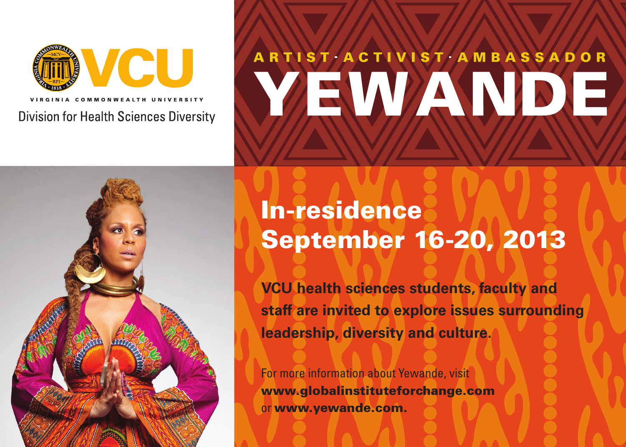VCU Division for Health Sciences Diversity

# ARTIST ACTIVIST AMBASSADOR YEWANDE



## In-residence September 16-20, 2013

**VCU health sciences students, faculty and staff are invited to explore issues surrounding leadership, diversity and culture.** 

For more information about Yewande, visit www.globalinstituteforchange.com or www.yewande.com.